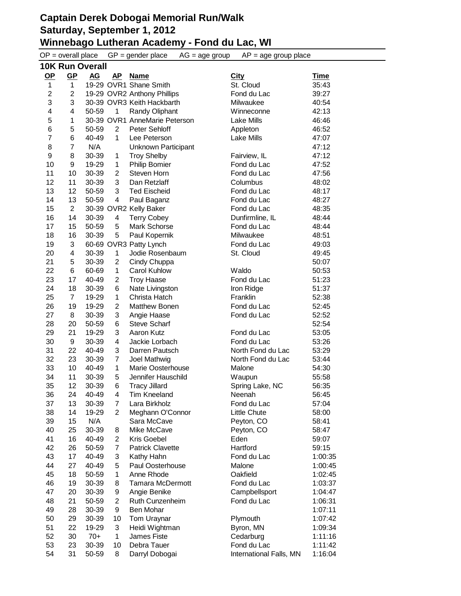|                         | $OP = overall place$    |           |                | $GP = gender place$<br>$AG = age$ group | $AP = age$ group place  |             |  |  |  |  |  |
|-------------------------|-------------------------|-----------|----------------|-----------------------------------------|-------------------------|-------------|--|--|--|--|--|
|                         | <b>10K Run Overall</b>  |           |                |                                         |                         |             |  |  |  |  |  |
| $OP$                    | $GP$                    | <u>AG</u> | <u>AP</u>      | <b>Name</b>                             | <b>City</b>             | <b>Time</b> |  |  |  |  |  |
| $\mathbf{1}$            | $\mathbf{1}$            |           |                | 19-29 OVR1 Shane Smith                  | St. Cloud               | 35:43       |  |  |  |  |  |
| $\overline{\mathbf{c}}$ | $\overline{2}$          |           |                | 19-29 OVR2 Anthony Phillips             | Fond du Lac             | 39:27       |  |  |  |  |  |
| 3                       | 3                       |           |                | 30-39 OVR3 Keith Hackbarth              | Milwaukee               | 40:54       |  |  |  |  |  |
| 4                       | $\overline{\mathbf{4}}$ | 50-59     | 1              | Randy Oliphant                          | Winneconne              | 42:13       |  |  |  |  |  |
| 5                       | 1                       |           |                | 30-39 OVR1 AnneMarie Peterson           | <b>Lake Mills</b>       | 46:46       |  |  |  |  |  |
| 6                       | 5                       | 50-59     | $\overline{2}$ | Peter Sehloff                           | Appleton                | 46:52       |  |  |  |  |  |
| $\overline{7}$          | 6                       | 40-49     | $\mathbf{1}$   | Lee Peterson                            | Lake Mills              | 47:07       |  |  |  |  |  |
| 8                       | $\overline{7}$          | N/A       |                | Unknown Participant                     |                         | 47:12       |  |  |  |  |  |
| 9                       | 8                       | 30-39     | 1              | <b>Troy Shelby</b>                      | Fairview, IL            | 47:12       |  |  |  |  |  |
| 10                      | 9                       | 19-29     | 1              | <b>Philip Bomier</b>                    | Fond du Lac             | 47:52       |  |  |  |  |  |
| 11                      | 10                      | 30-39     | $\overline{2}$ | Steven Horn                             | Fond du Lac             | 47:56       |  |  |  |  |  |
| 12                      | 11                      | 30-39     | 3              | Dan Retzlaff                            | Columbus                | 48:02       |  |  |  |  |  |
| 13                      | 12                      | 50-59     | 3              | <b>Ted Eischeid</b>                     | Fond du Lac             | 48:17       |  |  |  |  |  |
| 14                      | 13                      | 50-59     | 4              | Paul Baganz                             | Fond du Lac             | 48:27       |  |  |  |  |  |
| 15                      | $\overline{2}$          |           |                | 30-39 OVR2 Kelly Baker                  | Fond du Lac             | 48:35       |  |  |  |  |  |
| 16                      | 14                      | 30-39     | 4              | <b>Terry Cobey</b>                      | Dunfirmline, IL         | 48:44       |  |  |  |  |  |
| 17                      | 15                      | 50-59     | 5              | Mark Schorse                            | Fond du Lac             | 48:44       |  |  |  |  |  |
| 18                      | 16                      | 30-39     | 5              | Paul Kopernik                           | Milwaukee               | 48:51       |  |  |  |  |  |
| 19                      | 3                       |           |                | 60-69 OVR3 Patty Lynch                  | Fond du Lac             | 49:03       |  |  |  |  |  |
| 20                      | 4                       | 30-39     | 1              | Jodie Rosenbaum                         | St. Cloud               | 49:45       |  |  |  |  |  |
| 21                      | 5                       | 30-39     | 2              | Cindy Chuppa                            |                         | 50:07       |  |  |  |  |  |
| 22                      | 6                       | 60-69     | 1              | <b>Carol Kuhlow</b>                     | Waldo                   | 50:53       |  |  |  |  |  |
| 23                      | 17                      | 40-49     | $\overline{c}$ | <b>Troy Haase</b>                       | Fond du Lac             | 51:23       |  |  |  |  |  |
| 24                      | 18                      | 30-39     | 6              | Nate Livingston                         | Iron Ridge              | 51:37       |  |  |  |  |  |
| 25                      | $\overline{7}$          | 19-29     | 1              | Christa Hatch                           | Franklin                | 52:38       |  |  |  |  |  |
| 26                      | 19                      | 19-29     | $\overline{c}$ | Matthew Bonen                           | Fond du Lac             | 52:45       |  |  |  |  |  |
| 27                      | 8                       | 30-39     | 3              | Angie Haase                             | Fond du Lac             | 52:52       |  |  |  |  |  |
| 28                      | 20                      | 50-59     | 6              | <b>Steve Scharf</b>                     |                         | 52:54       |  |  |  |  |  |
| 29                      | 21                      | 19-29     | 3              | Aaron Kutz                              | Fond du Lac             | 53:05       |  |  |  |  |  |
| 30                      | 9                       | 30-39     | 4              | Jackie Lorbach                          | Fond du Lac             | 53:26       |  |  |  |  |  |
| 31                      | 22                      | 40-49     | 3              | Darren Pautsch                          | North Fond du Lac       | 53:29       |  |  |  |  |  |
| 32                      | 23                      | 30-39     | $\overline{7}$ | Joel Mathwig                            | North Fond du Lac       | 53:44       |  |  |  |  |  |
| 33                      | 10                      | 40-49     | $\mathbf{1}$   | Marie Oosterhouse                       | Malone                  | 54:30       |  |  |  |  |  |
| 34                      | 11                      | 30-39     | 5              | Jennifer Hauschild                      | Waupun                  | 55:58       |  |  |  |  |  |
| 35                      | 12                      | 30-39     | 6              | <b>Tracy Jillard</b>                    | Spring Lake, NC         | 56:35       |  |  |  |  |  |
| 36                      | 24                      | 40-49     | 4              | <b>Tim Kneeland</b>                     | Neenah                  | 56:45       |  |  |  |  |  |
| 37                      | 13                      | 30-39     | 7              | Lara Birkholz                           | Fond du Lac             | 57:04       |  |  |  |  |  |
| 38                      | 14                      | 19-29     | 2              | Meghann O'Connor                        | Little Chute            | 58:00       |  |  |  |  |  |
| 39                      | 15                      | N/A       |                | Sara McCave                             | Peyton, CO              | 58:41       |  |  |  |  |  |
| 40                      | 25                      | 30-39     | 8              | Mike McCave                             | Peyton, CO              | 58:47       |  |  |  |  |  |
| 41                      | 16                      | 40-49     | 2              | Kris Goebel                             | Eden                    | 59:07       |  |  |  |  |  |
| 42                      | 26                      | 50-59     | 7              | <b>Patrick Clavette</b>                 | Hartford                | 59:15       |  |  |  |  |  |
| 43                      | 17                      | 40-49     | 3              | Kathy Hahn                              | Fond du Lac             | 1:00:35     |  |  |  |  |  |
| 44                      | 27                      | 40-49     | 5              | Paul Oosterhouse                        | Malone                  | 1:00:45     |  |  |  |  |  |
| 45                      | 18                      | 50-59     | 1              | Anne Rhode                              | Oakfield                | 1:02:45     |  |  |  |  |  |
| 46                      | 19                      | 30-39     | 8              | <b>Tamara McDermott</b>                 | Fond du Lac             | 1:03:37     |  |  |  |  |  |
| 47                      | 20                      | 30-39     | 9              | Angie Benike                            | Campbellsport           | 1:04:47     |  |  |  |  |  |
| 48                      | 21                      | 50-59     | 2              | Ruth Cunzenheim                         | Fond du Lac             | 1:06:31     |  |  |  |  |  |
| 49                      | 28                      | 30-39     | 9              | Ben Mohar                               |                         | 1:07:11     |  |  |  |  |  |
| 50                      | 29                      | 30-39     | 10             | Tom Uraynar                             | Plymouth                | 1:07:42     |  |  |  |  |  |
| 51                      | 22                      | 19-29     | 3              | Heidi Wightman                          | Byron, MN               | 1:09:34     |  |  |  |  |  |
| 52                      | 30                      | $70+$     | 1              | James Fiste                             | Cedarburg               | 1:11:16     |  |  |  |  |  |
| 53                      | 23                      | 30-39     | 10             | Debra Tauer                             | Fond du Lac             | 1:11:42     |  |  |  |  |  |
| 54                      | 31                      | 50-59     | 8              | Darryl Dobogai                          | International Falls, MN | 1:16:04     |  |  |  |  |  |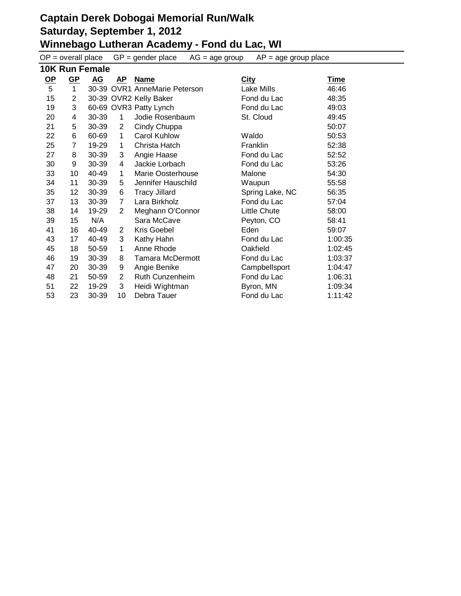$OP =$  overall place  $GP =$  gender place  $AG =$  age group  $AP =$  age group place **10K Run Female**

|           | 10K Run Female |       |    |                               |                 |             |  |  |  |  |
|-----------|----------------|-------|----|-------------------------------|-----------------|-------------|--|--|--|--|
| <u>OP</u> | $GP$           | AG    | AP | <b>Name</b>                   | <b>City</b>     | <b>Time</b> |  |  |  |  |
| 5         | $\mathbf{1}$   |       |    | 30-39 OVR1 AnneMarie Peterson | Lake Mills      | 46:46       |  |  |  |  |
| 15        | $\overline{2}$ |       |    | 30-39 OVR2 Kelly Baker        | Fond du Lac     | 48:35       |  |  |  |  |
| 19        | 3              |       |    | 60-69 OVR3 Patty Lynch        | Fond du Lac     | 49:03       |  |  |  |  |
| 20        | 4              | 30-39 | 1  | Jodie Rosenbaum               | St. Cloud       | 49:45       |  |  |  |  |
| 21        | 5              | 30-39 | 2  | Cindy Chuppa                  |                 | 50:07       |  |  |  |  |
| 22        | 6              | 60-69 | 1  | <b>Carol Kuhlow</b>           | Waldo           | 50:53       |  |  |  |  |
| 25        | $\overline{7}$ | 19-29 | 1  | Christa Hatch                 | Franklin        | 52:38       |  |  |  |  |
| 27        | 8              | 30-39 | 3  | Angie Haase                   | Fond du Lac     | 52:52       |  |  |  |  |
| 30        | 9              | 30-39 | 4  | Jackie Lorbach                | Fond du Lac     | 53:26       |  |  |  |  |
| 33        | 10             | 40-49 | 1  | Marie Oosterhouse             | Malone          | 54:30       |  |  |  |  |
| 34        | 11             | 30-39 | 5  | Jennifer Hauschild            | Waupun          | 55:58       |  |  |  |  |
| 35        | 12             | 30-39 | 6  | <b>Tracy Jillard</b>          | Spring Lake, NC | 56:35       |  |  |  |  |
| 37        | 13             | 30-39 | 7  | Lara Birkholz                 | Fond du Lac     | 57:04       |  |  |  |  |
| 38        | 14             | 19-29 | 2  | Meghann O'Connor              | Little Chute    | 58:00       |  |  |  |  |
| 39        | 15             | N/A   |    | Sara McCave                   | Peyton, CO      | 58:41       |  |  |  |  |
| 41        | 16             | 40-49 | 2  | Kris Goebel                   | Eden            | 59:07       |  |  |  |  |
| 43        | 17             | 40-49 | 3  | Kathy Hahn                    | Fond du Lac     | 1:00:35     |  |  |  |  |
| 45        | 18             | 50-59 | 1  | Anne Rhode                    | Oakfield        | 1:02:45     |  |  |  |  |
| 46        | 19             | 30-39 | 8  | <b>Tamara McDermott</b>       | Fond du Lac     | 1:03:37     |  |  |  |  |
| 47        | 20             | 30-39 | 9  | Angie Benike                  | Campbellsport   | 1:04:47     |  |  |  |  |
| 48        | 21             | 50-59 | 2  | Ruth Cunzenheim               | Fond du Lac     | 1:06:31     |  |  |  |  |
| 51        | 22             | 19-29 | 3  | Heidi Wightman                | Byron, MN       | 1:09:34     |  |  |  |  |
| 53        | 23             | 30-39 | 10 | Debra Tauer                   | Fond du Lac     | 1:11:42     |  |  |  |  |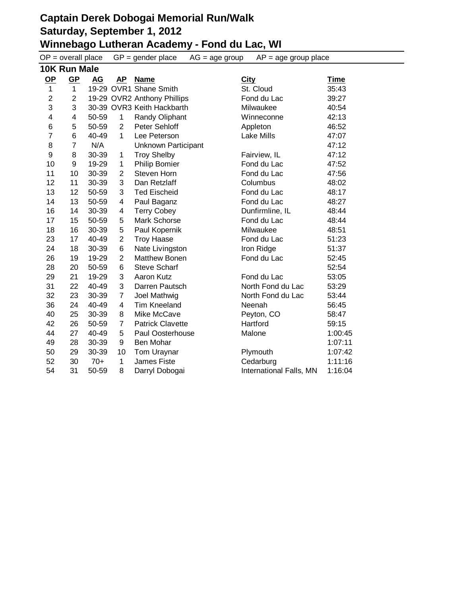# **Captain Derek Dobogai Memorial Run/Walk Saturday, September 1, 2012 Winnebago Lutheran Academy - Fond du Lac, WI**<br>OB - overall place GB - gender place AG - age group AB - age

|                | $OP = overall place$      |       |                | $GP = gender place$         | $AG = age$ group | $AP = age$ group place  |         |
|----------------|---------------------------|-------|----------------|-----------------------------|------------------|-------------------------|---------|
|                | 10K Run Male              |       |                |                             |                  |                         |         |
| <u>OP</u>      | $\underline{\textsf{GP}}$ | AG    | <b>AP</b>      | <b>Name</b>                 | <b>City</b>      |                         | Time    |
| $\mathbf{1}$   | $\mathbf{1}$              |       |                | 19-29 OVR1 Shane Smith      |                  | St. Cloud               | 35:43   |
| $\overline{c}$ | $\overline{c}$            |       |                | 19-29 OVR2 Anthony Phillips |                  | Fond du Lac             | 39:27   |
| 3              | 3                         |       |                | 30-39 OVR3 Keith Hackbarth  |                  | Milwaukee               | 40:54   |
| 4              | 4                         | 50-59 | 1              | Randy Oliphant              |                  | Winneconne              | 42:13   |
| 6              | 5                         | 50-59 | $\overline{2}$ | Peter Sehloff               |                  | Appleton                | 46:52   |
| $\overline{7}$ | 6                         | 40-49 | 1              | Lee Peterson                |                  | Lake Mills              | 47:07   |
| 8              | $\overline{7}$            | N/A   |                | Unknown Participant         |                  |                         | 47:12   |
| 9              | 8                         | 30-39 | 1              | <b>Troy Shelby</b>          |                  | Fairview, IL            | 47:12   |
| 10             | 9                         | 19-29 | 1              | <b>Philip Bomier</b>        |                  | Fond du Lac             | 47:52   |
| 11             | 10                        | 30-39 | 2              | Steven Horn                 |                  | Fond du Lac             | 47:56   |
| 12             | 11                        | 30-39 | 3              | Dan Retzlaff                |                  | Columbus                | 48:02   |
| 13             | 12                        | 50-59 | 3              | <b>Ted Eischeid</b>         |                  | Fond du Lac             | 48:17   |
| 14             | 13                        | 50-59 | 4              | Paul Baganz                 |                  | Fond du Lac             | 48:27   |
| 16             | 14                        | 30-39 | 4              | <b>Terry Cobey</b>          |                  | Dunfirmline, IL         | 48:44   |
| 17             | 15                        | 50-59 | 5              | Mark Schorse                |                  | Fond du Lac             | 48:44   |
| 18             | 16                        | 30-39 | 5              | Paul Kopernik               |                  | Milwaukee               | 48:51   |
| 23             | 17                        | 40-49 | $\overline{2}$ | <b>Troy Haase</b>           |                  | Fond du Lac             | 51:23   |
| 24             | 18                        | 30-39 | 6              | Nate Livingston             |                  | Iron Ridge              | 51:37   |
| 26             | 19                        | 19-29 | $\overline{2}$ | <b>Matthew Bonen</b>        |                  | Fond du Lac             | 52:45   |
| 28             | 20                        | 50-59 | 6              | <b>Steve Scharf</b>         |                  |                         | 52:54   |
| 29             | 21                        | 19-29 | 3              | Aaron Kutz                  |                  | Fond du Lac             | 53:05   |
| 31             | 22                        | 40-49 | 3              | Darren Pautsch              |                  | North Fond du Lac       | 53:29   |
| 32             | 23                        | 30-39 | $\overline{7}$ | Joel Mathwig                |                  | North Fond du Lac       | 53:44   |
| 36             | 24                        | 40-49 | 4              | <b>Tim Kneeland</b>         |                  | Neenah                  | 56:45   |
| 40             | 25                        | 30-39 | 8              | Mike McCave                 |                  | Peyton, CO              | 58:47   |
| 42             | 26                        | 50-59 | $\overline{7}$ | <b>Patrick Clavette</b>     |                  | Hartford                | 59:15   |
| 44             | 27                        | 40-49 | 5              | Paul Oosterhouse            |                  | Malone                  | 1:00:45 |
| 49             | 28                        | 30-39 | 9              | Ben Mohar                   |                  |                         | 1:07:11 |
| 50             | 29                        | 30-39 | 10             | Tom Uraynar                 |                  | Plymouth                | 1:07:42 |
| 52             | 30                        | $70+$ | 1              | <b>James Fiste</b>          |                  | Cedarburg               | 1:11:16 |
| 54             | 31                        | 50-59 | 8              | Darryl Dobogai              |                  | International Falls, MN | 1:16:04 |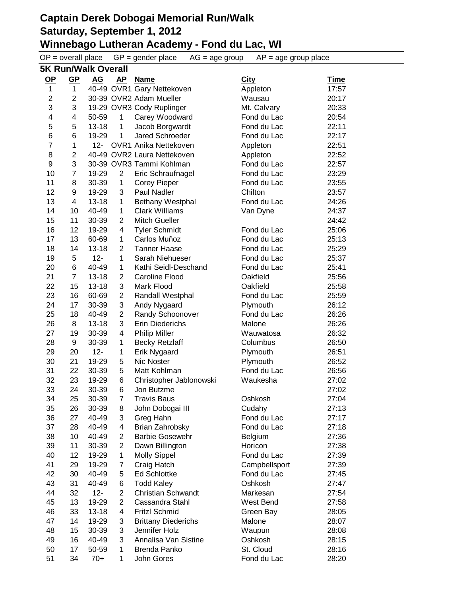$OP =$  overall place  $GP =$  gender place  $AG =$  age group  $AP =$  age group place

|                         | <b>5K Run/Walk Overall</b> |                    |                |                                                    |                     |             |  |  |  |
|-------------------------|----------------------------|--------------------|----------------|----------------------------------------------------|---------------------|-------------|--|--|--|
| $OP$                    | $GP$                       | <u>AG</u>          | <b>AP</b>      | <b>Name</b>                                        | <b>City</b>         | <b>Time</b> |  |  |  |
| $\mathbf{1}$            | $\mathbf 1$                |                    |                | 40-49 OVR1 Gary Nettekoven                         | Appleton            | 17:57       |  |  |  |
| $\overline{2}$          | $\overline{2}$             |                    |                | 30-39 OVR2 Adam Mueller                            | Wausau              | 20:17       |  |  |  |
| 3                       | 3                          |                    |                | 19-29 OVR3 Cody Ruplinger                          | Mt. Calvary         | 20:33       |  |  |  |
| $\overline{\mathbf{4}}$ | 4                          | 50-59              | 1              | Carey Woodward                                     | Fond du Lac         | 20:54       |  |  |  |
| 5                       | 5                          | $13 - 18$          | 1              | Jacob Borgwardt                                    | Fond du Lac         | 22:11       |  |  |  |
| 6                       | 6                          | 19-29              | 1              | Jared Schroeder                                    | Fond du Lac         | 22:17       |  |  |  |
| $\overline{7}$          | 1                          | 12-                |                | <b>OVR1 Anika Nettekoven</b>                       | Appleton            | 22:51       |  |  |  |
| 8                       | 2                          |                    |                | 40-49 OVR2 Laura Nettekoven                        | Appleton            | 22:52       |  |  |  |
| 9                       | 3                          |                    |                | 30-39 OVR3 Tammi Kohlman                           | Fond du Lac         | 22:57       |  |  |  |
| 10                      | $\overline{7}$             | 19-29              | $\overline{2}$ | Eric Schraufnagel                                  | Fond du Lac         | 23:29       |  |  |  |
| 11                      | 8                          | 30-39              | $\mathbf{1}$   | <b>Corey Pieper</b>                                | Fond du Lac         | 23:55       |  |  |  |
| 12                      | 9                          | 19-29              | 3              | Paul Nadler                                        | Chilton             | 23:57       |  |  |  |
| 13                      | 4                          | $13 - 18$          | $\mathbf{1}$   | Bethany Westphal                                   | Fond du Lac         | 24:26       |  |  |  |
| 14                      | 10                         | 40-49              | $\mathbf{1}$   | <b>Clark Williams</b>                              | Van Dyne            | 24:37       |  |  |  |
| 15                      | 11                         | 30-39              | 2              | <b>Mitch Gueller</b>                               |                     | 24:42       |  |  |  |
| 16                      | 12                         | 19-29              | 4              | <b>Tyler Schmidt</b>                               | Fond du Lac         | 25:06       |  |  |  |
| 17                      | 13                         | 60-69              | 1              | Carlos Muñoz                                       | Fond du Lac         | 25:13       |  |  |  |
| 18                      | 14                         | $13 - 18$          | $\overline{2}$ | <b>Tanner Haase</b>                                | Fond du Lac         | 25:29       |  |  |  |
| 19                      | 5                          | $12 -$             | 1              | Sarah Niehueser                                    | Fond du Lac         | 25:37       |  |  |  |
| 20                      | 6                          | 40-49              | 1              | Kathi Seidl-Deschand                               | Fond du Lac         | 25:41       |  |  |  |
| 21                      | 7                          | $13 - 18$          | 2              | <b>Caroline Flood</b>                              | Oakfield            | 25:56       |  |  |  |
| 22                      | 15                         | $13 - 18$          | 3              | Mark Flood                                         | Oakfield            | 25:58       |  |  |  |
| 23                      | 16                         | 60-69              | $\overline{2}$ | Randall Westphal                                   | Fond du Lac         | 25:59       |  |  |  |
| 24                      | 17                         | 30-39              | 3              | Andy Nygaard                                       | Plymouth            | 26:12       |  |  |  |
| 25                      | 18                         | 40-49              | $\overline{2}$ | Randy Schoonover                                   | Fond du Lac         | 26:26       |  |  |  |
| 26                      | 8                          | $13 - 18$          | 3              | <b>Erin Diederichs</b>                             | Malone              | 26:26       |  |  |  |
| 27                      | 19                         | 30-39              | 4              | <b>Philip Miller</b>                               | Wauwatosa           | 26:32       |  |  |  |
| 28                      | 9                          | 30-39              | 1              | <b>Becky Retzlaff</b>                              | Columbus            | 26:50       |  |  |  |
| 29                      | 20                         | $12 -$             | $\mathbf{1}$   | Erik Nygaard                                       | Plymouth            | 26:51       |  |  |  |
| 30                      | 21                         | 19-29              | 5              | Nic Noster                                         | Plymouth            | 26:52       |  |  |  |
| 31                      | 22                         | 30-39              | 5              | Matt Kohlman                                       | Fond du Lac         | 26:56       |  |  |  |
| 32                      | 23                         | 19-29              | 6              | Christopher Jablonowski                            | Waukesha            | 27:02       |  |  |  |
| 33                      | 24                         | 30-39              | 6              | Jon Butzme                                         |                     | 27:02       |  |  |  |
| 34                      | 25                         | 30-39              | $\overline{7}$ | <b>Travis Baus</b>                                 | Oshkosh             | 27:04       |  |  |  |
| 35                      | 26                         | 30-39              | 8              | John Dobogai III                                   | Cudahy              | 27:13       |  |  |  |
| 36                      | 27                         | 40-49              | 3              | Greg Hahn                                          | Fond du Lac         | 27:17       |  |  |  |
| 37                      | 28                         | 40-49              | 4              | Brian Zahrobsky                                    | Fond du Lac         | 27:18       |  |  |  |
| 38                      | 10                         | 40-49              | 2              | <b>Barbie Gosewehr</b>                             | Belgium             | 27:36       |  |  |  |
| 39                      | 11                         | 30-39              | $\overline{2}$ | Dawn Billington                                    | Horicon             | 27:38       |  |  |  |
| 40                      | 12                         | 19-29              | 1              | <b>Molly Sippel</b>                                | Fond du Lac         | 27:39       |  |  |  |
| 41                      | 29                         | 19-29              | 7              | Craig Hatch                                        | Campbellsport       | 27:39       |  |  |  |
| 42                      | 30                         | 40-49              | 5              | <b>Ed Schlottke</b>                                | Fond du Lac         | 27:45       |  |  |  |
| 43                      | 31                         | 40-49              | 6              | <b>Todd Kaley</b>                                  | Oshkosh             | 27:47       |  |  |  |
| 44                      | 32                         | $12 -$             | $\overline{2}$ | <b>Christian Schwandt</b>                          | Markesan            | 27:54       |  |  |  |
| 45                      | 13                         | 19-29              | $\overline{2}$ | Cassandra Stahl                                    | West Bend           | 27:58       |  |  |  |
|                         |                            |                    |                |                                                    |                     |             |  |  |  |
| 46<br>47                | 33                         | $13 - 18$<br>19-29 | 4<br>3         | <b>Fritzl Schmid</b><br><b>Brittany Diederichs</b> | Green Bay<br>Malone | 28:05       |  |  |  |
| 48                      | 14                         | 30-39              | 3              | Jennifer Holz                                      |                     | 28:07       |  |  |  |
|                         | 15                         | 40-49              | 3              | Annalisa Van Sistine                               | Waupun              | 28:08       |  |  |  |
| 49                      | 16                         |                    |                | Brenda Panko                                       | Oshkosh             | 28:15       |  |  |  |
| 50                      | 17                         | 50-59              | 1              |                                                    | St. Cloud           | 28:16       |  |  |  |
| 51                      | 34                         | $70+$              | 1              | John Gores                                         | Fond du Lac         | 28:20       |  |  |  |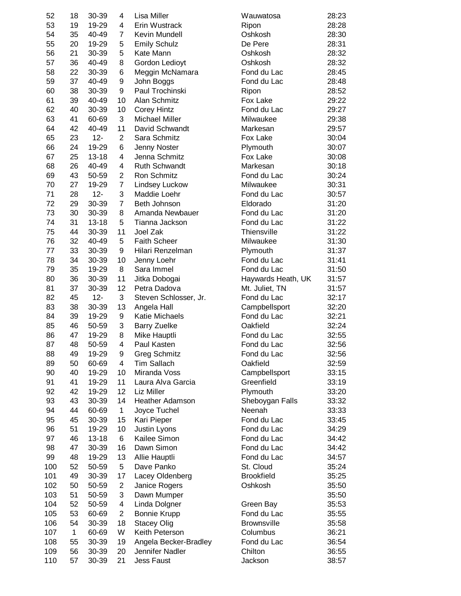| 52  | 18 | 30-39     | 4            | <b>Lisa Miller</b>     | Wauwatosa          | 28:23 |
|-----|----|-----------|--------------|------------------------|--------------------|-------|
| 53  | 19 | 19-29     | 4            | Erin Wustrack          | Ripon              | 28:28 |
| 54  | 35 | 40-49     | 7            | Kevin Mundell          | Oshkosh            | 28:30 |
| 55  | 20 | 19-29     | 5            | <b>Emily Schulz</b>    | De Pere            | 28:31 |
| 56  | 21 | 30-39     | 5            | Kate Mann              | Oshkosh            | 28:32 |
| 57  | 36 | 40-49     | 8            | Gordon Ledioyt         | Oshkosh            | 28:32 |
| 58  | 22 | 30-39     | 6            | Meggin McNamara        | Fond du Lac        | 28:45 |
| 59  | 37 | 40-49     | 9            | John Boggs             | Fond du Lac        | 28:48 |
| 60  | 38 | 30-39     | 9            | Paul Trochinski        | Ripon              | 28:52 |
| 61  | 39 | 40-49     | 10           | Alan Schmitz           | Fox Lake           | 29:22 |
|     |    |           |              |                        | Fond du Lac        |       |
| 62  | 40 | 30-39     | 10           | <b>Corey Hintz</b>     |                    | 29:27 |
| 63  | 41 | 60-69     | 3            | <b>Michael Miller</b>  | Milwaukee          | 29:38 |
| 64  | 42 | 40-49     | 11           | David Schwandt         | Markesan           | 29:57 |
| 65  | 23 | $12 -$    | 2            | Sara Schmitz           | Fox Lake           | 30:04 |
| 66  | 24 | 19-29     | 6            | Jenny Noster           | Plymouth           | 30:07 |
| 67  | 25 | $13 - 18$ | 4            | Jenna Schmitz          | Fox Lake           | 30:08 |
| 68  | 26 | 40-49     | 4            | <b>Ruth Schwandt</b>   | Markesan           | 30:18 |
| 69  | 43 | 50-59     | 2            | Ron Schmitz            | Fond du Lac        | 30:24 |
| 70  | 27 | 19-29     | 7            | <b>Lindsey Luckow</b>  | Milwaukee          | 30:31 |
| 71  | 28 | $12 -$    | 3            | Maddie Loehr           | Fond du Lac        | 30:57 |
| 72  | 29 | 30-39     | 7            | Beth Johnson           | Eldorado           | 31:20 |
| 73  | 30 | 30-39     | 8            | Amanda Newbauer        | Fond du Lac        | 31:20 |
| 74  | 31 | $13 - 18$ | 5            | Tianna Jackson         | Fond du Lac        | 31:22 |
| 75  | 44 | 30-39     | 11           | Joel Zak               | Thiensville        | 31:22 |
| 76  | 32 | 40-49     | 5            | <b>Faith Scheer</b>    | Milwaukee          | 31:30 |
| 77  | 33 | 30-39     | 9            | Hilari Renzelman       | Plymouth           | 31:37 |
| 78  | 34 | 30-39     | 10           | Jenny Loehr            | Fond du Lac        | 31:41 |
| 79  | 35 | 19-29     | 8            | Sara Immel             | Fond du Lac        | 31:50 |
| 80  | 36 |           | 11           |                        |                    |       |
|     |    | 30-39     |              | Jitka Dobogai          | Haywards Heath, UK | 31:57 |
| 81  | 37 | 30-39     | 12           | Petra Dadova           | Mt. Juliet, TN     | 31:57 |
| 82  | 45 | $12 -$    | 3            | Steven Schlosser, Jr.  | Fond du Lac        | 32:17 |
| 83  | 38 | 30-39     | 13           | Angela Hall            | Campbellsport      | 32:20 |
| 84  | 39 | 19-29     | 9            | <b>Katie Michaels</b>  | Fond du Lac        | 32:21 |
| 85  | 46 | 50-59     | 3            | <b>Barry Zuelke</b>    | Oakfield           | 32:24 |
| 86  | 47 | 19-29     | 8            | Mike Hauptli           | Fond du Lac        | 32:55 |
| 87  | 48 | 50-59     | 4            | Paul Kasten            | Fond du Lac        | 32:56 |
| 88  | 49 | 19-29     | 9            | <b>Greg Schmitz</b>    | Fond du Lac        | 32:56 |
| 89  | 50 | 60-69     | 4            | <b>Tim Sallach</b>     | Oakfield           | 32:59 |
| 90  | 40 | 19-29     | 10           | Miranda Voss           | Campbellsport      | 33:15 |
| 91  | 41 | 19-29     | 11           | Laura Alva Garcia      | Greenfield         | 33:19 |
| 92  | 42 | 19-29     | 12           | Liz Miller             | Plymouth           | 33:20 |
| 93  | 43 | 30-39     | 14           | <b>Heather Adamson</b> | Sheboygan Falls    | 33:32 |
| 94  | 44 | 60-69     | $\mathbf{1}$ | Joyce Tuchel           | Neenah             | 33:33 |
| 95  | 45 | 30-39     | 15           | Kari Pieper            | Fond du Lac        | 33:45 |
| 96  | 51 | 19-29     | 10           | Justin Lyons           | Fond du Lac        | 34:29 |
| 97  | 46 | $13 - 18$ | 6            | Kailee Simon           | Fond du Lac        | 34:42 |
| 98  | 47 | 30-39     | 16           | Dawn Simon             | Fond du Lac        | 34:42 |
| 99  | 48 | 19-29     | 13           | Allie Hauptli          | Fond du Lac        | 34:57 |
| 100 | 52 | 50-59     | 5            | Dave Panko             | St. Cloud          | 35:24 |
| 101 | 49 | 30-39     | 17           | Lacey Oldenberg        | <b>Brookfield</b>  | 35:25 |
|     |    |           |              |                        | Oshkosh            |       |
| 102 | 50 | 50-59     | 2            | Janice Rogers          |                    | 35:50 |
| 103 | 51 | 50-59     | 3            | Dawn Mumper            |                    | 35:50 |
| 104 | 52 | 50-59     | 4            | Linda Dolgner          | Green Bay          | 35:53 |
| 105 | 53 | 60-69     | 2            | <b>Bonnie Krupp</b>    | Fond du Lac        | 35:55 |
| 106 | 54 | 30-39     | 18           | <b>Stacey Olig</b>     | <b>Brownsville</b> | 35:58 |
| 107 | 1  | 60-69     | W            | Keith Peterson         | Columbus           | 36:21 |
| 108 | 55 | 30-39     | 19           | Angela Becker-Bradley  | Fond du Lac        | 36:54 |
| 109 | 56 | 30-39     | 20           | Jennifer Nadler        | Chilton            | 36:55 |
| 110 | 57 | 30-39     | 21           | Jess Faust             | Jackson            | 38:57 |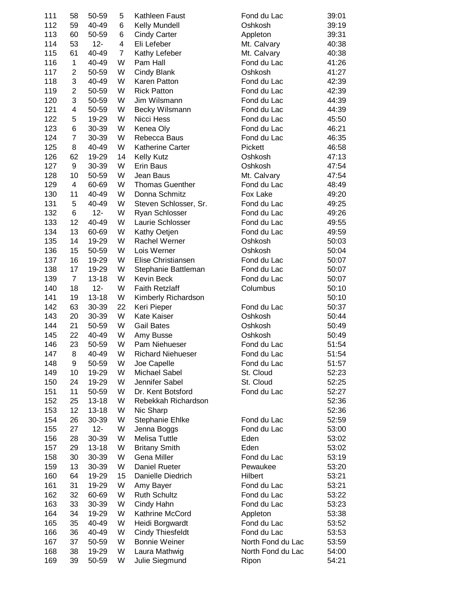| 111 | 58             | 50-59     | 5              | Kathleen Faust           | Fond du Lac       | 39:01 |
|-----|----------------|-----------|----------------|--------------------------|-------------------|-------|
| 112 | 59             | 40-49     | 6              | Kelly Mundell            | Oshkosh           | 39:19 |
| 113 | 60             | 50-59     | 6              | <b>Cindy Carter</b>      | Appleton          | 39:31 |
| 114 | 53             | $12 -$    | 4              | Eli Lefeber              | Mt. Calvary       | 40:38 |
| 115 | 61             | 40-49     | $\overline{7}$ | Kathy Lefeber            | Mt. Calvary       | 40:38 |
| 116 | 1              | 40-49     | W              | Pam Hall                 | Fond du Lac       | 41:26 |
| 117 | $\overline{2}$ | 50-59     | W              | Cindy Blank              | Oshkosh           | 41:27 |
| 118 | 3              | 40-49     | W              | Karen Patton             | Fond du Lac       | 42:39 |
| 119 | $\overline{c}$ | 50-59     | W              | <b>Rick Patton</b>       | Fond du Lac       | 42:39 |
| 120 | 3              | 50-59     | W              | Jim Wilsmann             | Fond du Lac       | 44:39 |
|     | 4              |           | W              |                          |                   |       |
| 121 |                | 50-59     |                | Becky Wilsmann           | Fond du Lac       | 44:39 |
| 122 | 5              | 19-29     | W              | Nicci Hess               | Fond du Lac       | 45:50 |
| 123 | 6              | 30-39     | W              | Kenea Oly                | Fond du Lac       | 46:21 |
| 124 | 7              | 30-39     | W              | Rebecca Baus             | Fond du Lac       | 46:35 |
| 125 | 8              | 40-49     | W              | <b>Katherine Carter</b>  | Pickett           | 46:58 |
| 126 | 62             | 19-29     | 14             | <b>Kelly Kutz</b>        | Oshkosh           | 47:13 |
| 127 | 9              | 30-39     | W              | Erin Baus                | Oshkosh           | 47:54 |
| 128 | 10             | 50-59     | W              | Jean Baus                | Mt. Calvary       | 47:54 |
| 129 | 4              | 60-69     | W              | <b>Thomas Guenther</b>   | Fond du Lac       | 48:49 |
| 130 | 11             | 40-49     | W              | Donna Schmitz            | Fox Lake          | 49:20 |
| 131 | 5              | 40-49     | W              | Steven Schlosser, Sr.    | Fond du Lac       | 49:25 |
| 132 | 6              | $12 -$    | W              | Ryan Schlosser           | Fond du Lac       | 49:26 |
| 133 | 12             | 40-49     | W              | Laurie Schlosser         | Fond du Lac       | 49:55 |
| 134 | 13             | 60-69     | W              | Kathy Oetjen             | Fond du Lac       | 49:59 |
| 135 | 14             | 19-29     | W              | Rachel Werner            | Oshkosh           | 50:03 |
| 136 | 15             | 50-59     | W              | Lois Werner              | Oshkosh           | 50:04 |
| 137 | 16             | 19-29     | W              | Elise Christiansen       | Fond du Lac       | 50:07 |
| 138 | 17             | 19-29     | W              | Stephanie Battleman      | Fond du Lac       | 50:07 |
| 139 | $\overline{7}$ | $13 - 18$ | W              | Kevin Beck               | Fond du Lac       | 50:07 |
|     |                |           | W              |                          |                   |       |
| 140 | 18             | $12 -$    |                | <b>Faith Retzlaff</b>    | Columbus          | 50:10 |
| 141 | 19             | $13 - 18$ | W              | Kimberly Richardson      |                   | 50:10 |
| 142 | 63             | 30-39     | 22             | Keri Pieper              | Fond du Lac       | 50:37 |
| 143 | 20             | 30-39     | W              | Kate Kaiser              | Oshkosh           | 50:44 |
| 144 | 21             | 50-59     | W              | <b>Gail Bates</b>        | Oshkosh           | 50:49 |
| 145 | 22             | 40-49     | W              | Amy Busse                | Oshkosh           | 50:49 |
| 146 | 23             | 50-59     | W              | Pam Niehueser            | Fond du Lac       | 51:54 |
| 147 | 8              | 40-49     | W              | <b>Richard Niehueser</b> | Fond du Lac       | 51:54 |
| 148 | 9              | 50-59     | W              | Joe Capelle              | Fond du Lac       | 51:57 |
| 149 | 10             | 19-29     | W              | Michael Sabel            | St. Cloud         | 52:23 |
| 150 | 24             | 19-29     | W              | Jennifer Sabel           | St. Cloud         | 52:25 |
| 151 | 11             | 50-59     | W              | Dr. Kent Botsford        | Fond du Lac       | 52:27 |
| 152 | 25             | $13 - 18$ | W              | Rebekkah Richardson      |                   | 52:36 |
| 153 | 12             | $13 - 18$ | W              | Nic Sharp                |                   | 52:36 |
| 154 | 26             | 30-39     | W              | Stephanie Ehlke          | Fond du Lac       | 52:59 |
| 155 | 27             | $12 -$    | W              | Jenna Boggs              | Fond du Lac       | 53:00 |
| 156 | 28             | 30-39     | W              | <b>Melisa Tuttle</b>     | Eden              | 53:02 |
| 157 | 29             | $13 - 18$ | W              | <b>Britany Smith</b>     | Eden              | 53:02 |
| 158 | 30             | 30-39     | W              | Gena Miller              | Fond du Lac       | 53:19 |
| 159 | 13             | 30-39     | W              | Daniel Rueter            | Pewaukee          | 53:20 |
| 160 | 64             | 19-29     | 15             | Danielle Diedrich        | Hilbert           | 53:21 |
|     |                |           | W              |                          |                   |       |
| 161 | 31             | 19-29     |                | Amy Bayer                | Fond du Lac       | 53:21 |
| 162 | 32             | 60-69     | W              | <b>Ruth Schultz</b>      | Fond du Lac       | 53:22 |
| 163 | 33             | 30-39     | W              | Cindy Hahn               | Fond du Lac       | 53:23 |
| 164 | 34             | 19-29     | W              | Kathrine McCord          | Appleton          | 53:38 |
| 165 | 35             | 40-49     | W              | Heidi Borgwardt          | Fond du Lac       | 53:52 |
| 166 | 36             | 40-49     | W              | <b>Cindy Thiesfeldt</b>  | Fond du Lac       | 53:53 |
| 167 | 37             | 50-59     | W              | <b>Bonnie Weiner</b>     | North Fond du Lac | 53:59 |
| 168 | 38             | 19-29     | W              | Laura Mathwig            | North Fond du Lac | 54:00 |
| 169 | 39             | 50-59     | W              | Julie Siegmund           | Ripon             | 54:21 |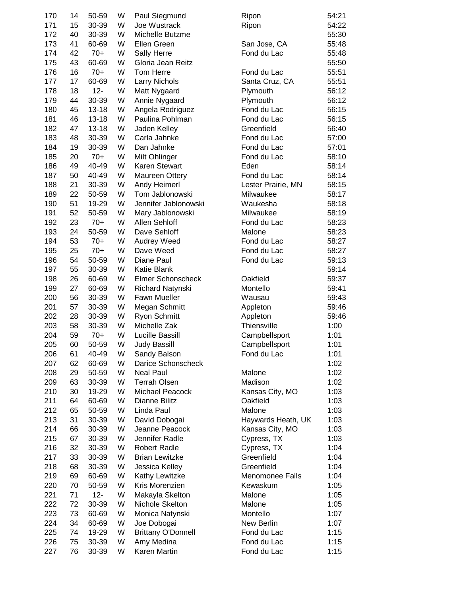| 170 | 14 | 50-59     | W | Paul Siegmund             | Ripon                  | 54:21 |
|-----|----|-----------|---|---------------------------|------------------------|-------|
| 171 | 15 | 30-39     | W | Joe Wustrack              | Ripon                  | 54:22 |
| 172 | 40 | 30-39     | W | Michelle Butzme           |                        | 55:30 |
| 173 | 41 | 60-69     | W | Ellen Green               | San Jose, CA           | 55:48 |
| 174 | 42 | $70+$     | W | Sally Herre               | Fond du Lac            | 55:48 |
| 175 | 43 | 60-69     | W | Gloria Jean Reitz         |                        | 55:50 |
| 176 | 16 | $70+$     | W | Tom Herre                 | Fond du Lac            | 55:51 |
| 177 | 17 | 60-69     | W | <b>Larry Nichols</b>      | Santa Cruz, CA         | 55:51 |
| 178 | 18 | $12 -$    | W | Matt Nygaard              | Plymouth               | 56:12 |
| 179 | 44 | 30-39     | W | Annie Nygaard             | Plymouth               | 56:12 |
| 180 | 45 | $13 - 18$ | W | Angela Rodriguez          | Fond du Lac            | 56:15 |
| 181 | 46 | $13 - 18$ | W | Paulina Pohlman           | Fond du Lac            | 56:15 |
| 182 | 47 | $13 - 18$ | W | Jaden Kelley              | Greenfield             | 56:40 |
| 183 | 48 | 30-39     | W | Carla Jahnke              | Fond du Lac            | 57:00 |
| 184 | 19 | 30-39     | W | Dan Jahnke                | Fond du Lac            | 57:01 |
| 185 | 20 | $70+$     | W | Milt Ohlinger             | Fond du Lac            | 58:10 |
| 186 | 49 | 40-49     | W | Karen Stewart             | Eden                   | 58:14 |
| 187 | 50 | 40-49     | W | <b>Maureen Ottery</b>     | Fond du Lac            | 58:14 |
| 188 | 21 | 30-39     | W | Andy Heimerl              | Lester Prairie, MN     | 58:15 |
| 189 | 22 | 50-59     | W | Tom Jablonowski           | Milwaukee              | 58:17 |
| 190 | 51 | 19-29     | W | Jennifer Jablonowski      | Waukesha               | 58:18 |
| 191 | 52 | 50-59     | W | Mary Jablonowski          | Milwaukee              | 58:19 |
|     |    | $70+$     | W | Allen Sehloff             | Fond du Lac            |       |
| 192 | 23 |           |   |                           |                        | 58:23 |
| 193 | 24 | 50-59     | W | Dave Sehloff              | Malone                 | 58:23 |
| 194 | 53 | $70+$     | W | Audrey Weed               | Fond du Lac            | 58:27 |
| 195 | 25 | $70+$     | W | Dave Weed                 | Fond du Lac            | 58:27 |
| 196 | 54 | 50-59     | W | Diane Paul                | Fond du Lac            | 59:13 |
| 197 | 55 | 30-39     | W | Katie Blank               |                        | 59:14 |
| 198 | 26 | 60-69     | W | <b>Elmer Schonscheck</b>  | Oakfield               | 59:37 |
| 199 | 27 | 60-69     | W | Richard Natynski          | Montello               | 59:41 |
| 200 | 56 | 30-39     | W | <b>Fawn Mueller</b>       | Wausau                 | 59:43 |
| 201 | 57 | 30-39     | W | Megan Schmitt             | Appleton               | 59:46 |
| 202 | 28 | 30-39     | W | Ryon Schmitt              | Appleton               | 59:46 |
| 203 | 58 | 30-39     | W | Michelle Zak              | Thiensville            | 1:00  |
| 204 | 59 | $70+$     | W | Lucille Bassill           | Campbellsport          | 1:01  |
| 205 | 60 | 50-59     | W | <b>Judy Bassill</b>       | Campbellsport          | 1:01  |
| 206 | 61 | 40-49     | W | Sandy Balson              | Fond du Lac            | 1:01  |
| 207 | 62 | 60-69     | W | Darice Schonscheck        |                        | 1:02  |
| 208 | 29 | 50-59     | W | <b>Neal Paul</b>          | Malone                 | 1:02  |
| 209 | 63 | 30-39     | W | <b>Terrah Olsen</b>       | Madison                | 1:02  |
| 210 | 30 | 19-29     | W | Michael Peacock           | Kansas City, MO        | 1:03  |
| 211 | 64 | 60-69     | W | Dianne Bilitz             | Oakfield               | 1:03  |
| 212 | 65 | 50-59     | W | Linda Paul                | Malone                 | 1:03  |
| 213 | 31 | 30-39     | W | David Dobogai             | Haywards Heath, UK     | 1:03  |
| 214 | 66 | 30-39     | W | Jeanne Peacock            | Kansas City, MO        | 1:03  |
| 215 | 67 | 30-39     | W | Jennifer Radle            | Cypress, TX            | 1:03  |
| 216 | 32 | 30-39     | W | <b>Robert Radle</b>       | Cypress, TX            | 1:04  |
| 217 | 33 | 30-39     | W | <b>Brian Lewitzke</b>     | Greenfield             | 1:04  |
| 218 | 68 | 30-39     | W | Jessica Kelley            | Greenfield             | 1:04  |
| 219 | 69 | 60-69     | W | Kathy Lewitzke            | <b>Menomonee Falls</b> | 1:04  |
| 220 | 70 | 50-59     | W | Kris Morenzien            | Kewaskum               | 1:05  |
| 221 | 71 | $12 -$    | W | Makayla Skelton           | Malone                 | 1:05  |
| 222 | 72 | 30-39     | W | Nichole Skelton           | Malone                 | 1:05  |
| 223 | 73 | 60-69     | W | Monica Natynski           | Montello               | 1:07  |
| 224 | 34 | 60-69     | W | Joe Dobogai               | New Berlin             | 1:07  |
| 225 | 74 | 19-29     | W | <b>Brittany O'Donnell</b> | Fond du Lac            | 1:15  |
| 226 | 75 | 30-39     | W | Amy Medina                | Fond du Lac            | 1:15  |
| 227 | 76 | 30-39     | W | Karen Martin              | Fond du Lac            | 1:15  |
|     |    |           |   |                           |                        |       |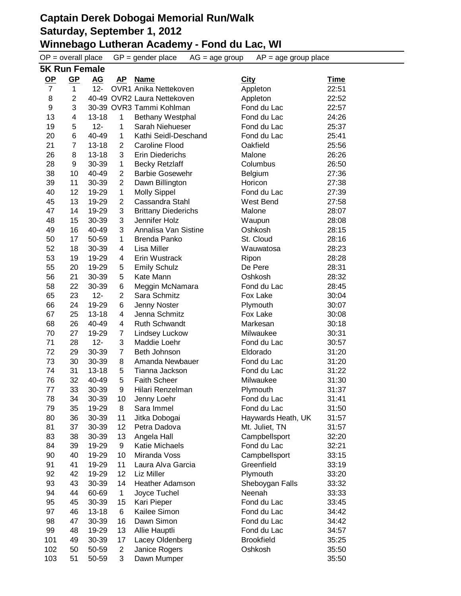$OP =$  overall place  $GP =$  gender place  $AG =$  age group  $AP =$  age group place **5K Run Female OP GP AG AP Name City Time** 7 1 12- OVR1 Anika Nettekoven Appleton 22:51 8 2 40-49 OVR2 Laura Nettekoven Appleton 22:52 9 3 30-39 OVR3 Tammi Kohlman Fond du Lac 22:57 4 13-18 1 Bethany Westphal Fond du Lac 24:26 19 5 12- 1 Sarah Niehueser Fond du Lac 25:37 6 40-49 1 Kathi Seidl-Deschand Fond du Lac 25:41 7 13-18 2 Caroline Flood Oakfield 25:56 8 13-18 3 Erin Diederichs Malone 26:26 9 30-39 1 Becky Retzlaff Columbus 26:50 10 40-49 2 Barbie Gosewehr Belgium 27:36 11 30-39 2 Dawn Billington Horicon 27:38 12 19-29 1 Molly Sippel Fond du Lac 27:39 13 19-29 2 Cassandra Stahl West Bend 27:58 14 19-29 3 Brittany Diederichs Malone 28:07 15 30-39 3 Jennifer Holz Waupun 28:08 16 40-49 3 Annalisa Van Sistine Oshkosh 28:15 17 50-59 1 Brenda Panko St. Cloud 28:16 18 30-39 4 Lisa Miller Wauwatosa 28:23 19 19-29 4 Erin Wustrack Ripon 28:28 20 19-29 5 Emily Schulz De Pere 28:31 21 30-39 5 Kate Mann Oshkosh 28:32 22 30-39 6 Meggin McNamara Fond du Lac 28:45 23 12- 2 Sara Schmitz Fox Lake 30:04 24 19-29 6 Jenny Noster Plymouth 30:07 25 13-18 4 Jenna Schmitz Fox Lake 30:08 26 40-49 4 Ruth Schwandt Markesan 30:18 27 19-29 7 Lindsey Luckow Milwaukee 30:31 28 12- 3 Maddie Loehr Fond du Lac 30:57 29 30-39 7 Beth Johnson Eldorado 31:20 30 30-39 8 Amanda Newbauer Fond du Lac 31:20 31 13-18 5 Tianna Jackson Fond du Lac 31:22 32 40-49 5 Faith Scheer Milwaukee 31:30 33 30-39 9 Hilari Renzelman Plymouth 31:37 78 34 30-39 10 Jenny Loehr Fond du Lac 31:41 35 19-29 8 Sara Immel Fond du Lac 31:50 80 36 30-39 11 Jitka Dobogai Haywards Heath, UK 31:57 81 37 30-39 12 Petra Dadova **Mt. Juliet, TN** 31:57 38 30-39 13 Angela Hall Campbellsport 32:20 39 19-29 9 Katie Michaels Fond du Lac 32:21 40 19-29 10 Miranda Voss Campbellsport 33:15 41 19-29 11 Laura Alva Garcia Greenfield 33:19 42 19-29 12 Liz Miller Plymouth 33:20 43 30-39 14 Heather Adamson Sheboygan Falls 33:32 44 60-69 1 Joyce Tuchel Neenah 33:33 45 30-39 15 Kari Pieper Fond du Lac 33:45 46 13-18 6 Kailee Simon Fond du Lac 34:42 47 30-39 16 Dawn Simon Fond du Lac 34:42 48 19-29 13 Allie Hauptli Fond du Lac 34:57 101 49 30-39 17 Lacey Oldenberg Brookfield 35:25 50 50-59 2 Janice Rogers Oshkosh 35:50 51 50-59 3 Dawn Mumper 35:50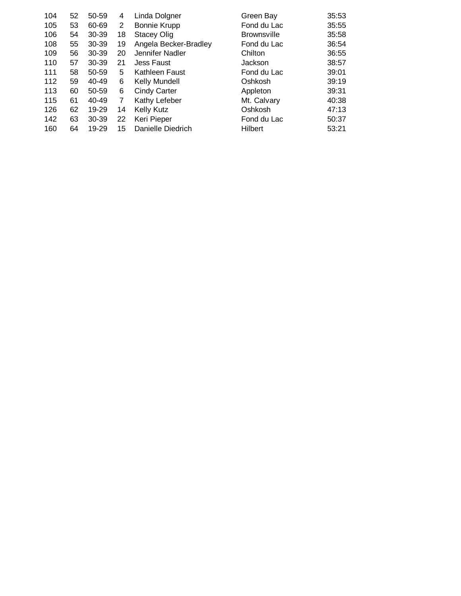| 104 | 52 | 50-59 | 4  | Linda Dolgner         | Green Bay          | 35:53 |
|-----|----|-------|----|-----------------------|--------------------|-------|
| 105 | 53 | 60-69 | 2  | <b>Bonnie Krupp</b>   | Fond du Lac        | 35:55 |
| 106 | 54 | 30-39 | 18 | <b>Stacey Olig</b>    | <b>Brownsville</b> | 35:58 |
| 108 | 55 | 30-39 | 19 | Angela Becker-Bradley | Fond du Lac        | 36:54 |
| 109 | 56 | 30-39 | 20 | Jennifer Nadler       | Chilton            | 36:55 |
| 110 | 57 | 30-39 | 21 | <b>Jess Faust</b>     | Jackson            | 38:57 |
| 111 | 58 | 50-59 | 5  | Kathleen Faust        | Fond du Lac        | 39:01 |
| 112 | 59 | 40-49 | 6  | Kelly Mundell         | Oshkosh            | 39:19 |
| 113 | 60 | 50-59 | 6  | <b>Cindy Carter</b>   | Appleton           | 39:31 |
| 115 | 61 | 40-49 | 7  | Kathy Lefeber         | Mt. Calvary        | 40:38 |
| 126 | 62 | 19-29 | 14 | <b>Kelly Kutz</b>     | Oshkosh            | 47:13 |
| 142 | 63 | 30-39 | 22 | Keri Pieper           | Fond du Lac        | 50:37 |
| 160 | 64 | 19-29 | 15 | Danielle Diedrich     | <b>Hilbert</b>     | 53:21 |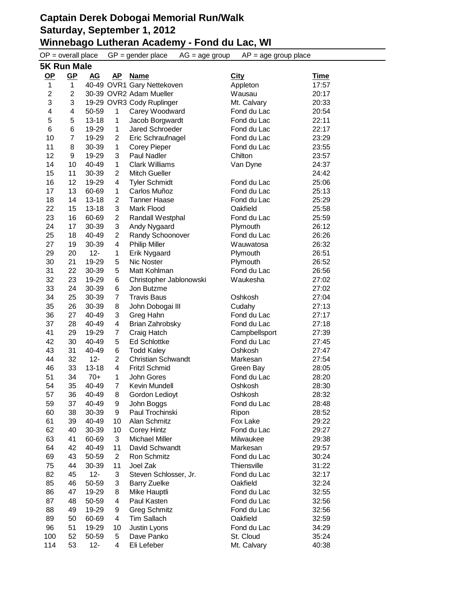|                         | $OP = overall place$ |           |                | $GP = gender place$<br>$AG = age$ group | $AP = age$ group place |             |  |  |  |  |
|-------------------------|----------------------|-----------|----------------|-----------------------------------------|------------------------|-------------|--|--|--|--|
|                         | <b>5K Run Male</b>   |           |                |                                         |                        |             |  |  |  |  |
| $OP$                    | $GP$                 | AG        | <u>AP</u>      | <b>Name</b>                             | <b>City</b>            | <b>Time</b> |  |  |  |  |
| 1                       | 1                    |           |                | 40-49 OVR1 Gary Nettekoven              | Appleton               | 17:57       |  |  |  |  |
| $\overline{\mathbf{c}}$ | $\overline{2}$       |           |                | 30-39 OVR2 Adam Mueller                 | Wausau                 | 20:17       |  |  |  |  |
| 3                       | 3                    |           |                | 19-29 OVR3 Cody Ruplinger               | Mt. Calvary            | 20:33       |  |  |  |  |
| 4                       | 4                    | 50-59     | $\mathbf 1$    | Carey Woodward                          | Fond du Lac            | 20:54       |  |  |  |  |
| 5                       | 5                    | $13 - 18$ | 1              | Jacob Borgwardt                         | Fond du Lac            | 22:11       |  |  |  |  |
| 6                       | 6                    | 19-29     | 1              | Jared Schroeder                         | Fond du Lac            | 22:17       |  |  |  |  |
| 10                      | $\overline{7}$       | 19-29     | 2              | Eric Schraufnagel                       | Fond du Lac            | 23:29       |  |  |  |  |
| 11                      | 8                    | 30-39     | $\mathbf{1}$   | <b>Corey Pieper</b>                     | Fond du Lac            | 23:55       |  |  |  |  |
| 12                      | 9                    | 19-29     | 3              | Paul Nadler                             | Chilton                | 23:57       |  |  |  |  |
| 14                      | 10                   | 40-49     | 1              | <b>Clark Williams</b>                   | Van Dyne               | 24:37       |  |  |  |  |
| 15                      | 11                   | 30-39     | 2              | <b>Mitch Gueller</b>                    |                        | 24:42       |  |  |  |  |
| 16                      | 12                   | 19-29     | 4              | <b>Tyler Schmidt</b>                    | Fond du Lac            | 25:06       |  |  |  |  |
| 17                      | 13                   | 60-69     | 1              | Carlos Muñoz                            | Fond du Lac            | 25:13       |  |  |  |  |
| 18                      | 14                   | 13-18     | 2              | <b>Tanner Haase</b>                     | Fond du Lac            | 25:29       |  |  |  |  |
| 22                      | 15                   | 13-18     | 3              | Mark Flood                              | Oakfield               | 25:58       |  |  |  |  |
| 23                      | 16                   | 60-69     | $\overline{c}$ | Randall Westphal                        | Fond du Lac            | 25:59       |  |  |  |  |
| 24                      | 17                   | 30-39     | 3              | Andy Nygaard                            | Plymouth               | 26:12       |  |  |  |  |
| 25                      | 18                   | 40-49     | $\overline{c}$ | Randy Schoonover                        | Fond du Lac            | 26:26       |  |  |  |  |
| 27                      | 19                   | 30-39     | 4              | <b>Philip Miller</b>                    | Wauwatosa              | 26:32       |  |  |  |  |
| 29                      | 20                   | $12 -$    | 1              | Erik Nygaard                            | Plymouth               | 26:51       |  |  |  |  |
| 30                      | 21                   | 19-29     | 5              | Nic Noster                              | Plymouth               | 26:52       |  |  |  |  |
| 31                      | 22                   | 30-39     | 5              | Matt Kohlman                            | Fond du Lac            | 26:56       |  |  |  |  |
| 32                      | 23                   | 19-29     | 6              | Christopher Jablonowski                 | Waukesha               | 27:02       |  |  |  |  |
| 33                      | 24                   | 30-39     | 6              | Jon Butzme                              |                        | 27:02       |  |  |  |  |
| 34                      | 25                   | 30-39     | 7              | <b>Travis Baus</b>                      | Oshkosh                | 27:04       |  |  |  |  |
| 35                      | 26                   | 30-39     | 8              | John Dobogai III                        | Cudahy                 | 27:13       |  |  |  |  |
| 36                      | 27                   | 40-49     | 3              | Greg Hahn                               | Fond du Lac            | 27:17       |  |  |  |  |
| 37                      | 28                   | 40-49     | 4              | Brian Zahrobsky                         | Fond du Lac            | 27:18       |  |  |  |  |
| 41                      | 29                   | 19-29     | $\overline{7}$ | Craig Hatch                             | Campbellsport          | 27:39       |  |  |  |  |
| 42                      | 30                   | 40-49     | 5              | <b>Ed Schlottke</b>                     | Fond du Lac            | 27:45       |  |  |  |  |
| 43                      | 31                   | 40-49     | 6              | <b>Todd Kaley</b>                       | Oshkosh                | 27:47       |  |  |  |  |
| 44                      | 32                   | $12 -$    | $\overline{2}$ | <b>Christian Schwandt</b>               | Markesan               | 27:54       |  |  |  |  |
| 46                      | 33                   | $13 - 18$ | 4              | <b>Fritzl Schmid</b>                    | Green Bay              | 28:05       |  |  |  |  |
| 51                      | 34                   | $70+$     | 1              | John Gores                              | Fond du Lac            | 28:20       |  |  |  |  |
| 54                      | 35                   | 40-49     | $\overline{7}$ | Kevin Mundell                           | Oshkosh                | 28:30       |  |  |  |  |
| 57                      | 36                   | 40-49     | 8              | Gordon Ledioyt                          | Oshkosh                | 28:32       |  |  |  |  |
| 59                      | 37                   | 40-49     | 9              | John Boggs                              | Fond du Lac            | 28:48       |  |  |  |  |
| 60                      | 38                   | 30-39     | 9              | Paul Trochinski                         | Ripon                  | 28:52       |  |  |  |  |
| 61                      | 39                   | 40-49     | 10             | Alan Schmitz                            | Fox Lake               | 29:22       |  |  |  |  |
| 62                      | 40                   | 30-39     | 10             | <b>Corey Hintz</b>                      | Fond du Lac            | 29:27       |  |  |  |  |
| 63                      | 41                   | 60-69     | 3              | <b>Michael Miller</b>                   | Milwaukee              | 29:38       |  |  |  |  |
| 64                      | 42                   | 40-49     | 11             | David Schwandt                          | Markesan               | 29:57       |  |  |  |  |
| 69                      | 43                   | 50-59     | $\overline{2}$ | Ron Schmitz                             | Fond du Lac            | 30:24       |  |  |  |  |
| 75                      | 44                   | 30-39     | 11             | Joel Zak                                | Thiensville            | 31:22       |  |  |  |  |
| 82                      | 45                   | $12 -$    | 3              | Steven Schlosser, Jr.                   | Fond du Lac            | 32:17       |  |  |  |  |
| 85                      | 46                   | 50-59     | 3              | <b>Barry Zuelke</b>                     | Oakfield               | 32:24       |  |  |  |  |
| 86                      | 47                   | 19-29     | 8              | Mike Hauptli                            | Fond du Lac            | 32:55       |  |  |  |  |
| 87                      | 48                   | 50-59     | 4              | Paul Kasten                             | Fond du Lac            | 32:56       |  |  |  |  |
| 88                      | 49                   | 19-29     | 9              | <b>Greg Schmitz</b>                     | Fond du Lac            | 32:56       |  |  |  |  |
| 89                      | 50                   | 60-69     | 4              | Tim Sallach                             | Oakfield               | 32:59       |  |  |  |  |
| 96                      | 51                   | 19-29     | 10             | Justin Lyons                            | Fond du Lac            | 34:29       |  |  |  |  |
| 100                     | 52                   | 50-59     | 5              | Dave Panko                              | St. Cloud              | 35:24       |  |  |  |  |
| 114                     | 53                   | $12 -$    | 4              | Eli Lefeber                             | Mt. Calvary            | 40:38       |  |  |  |  |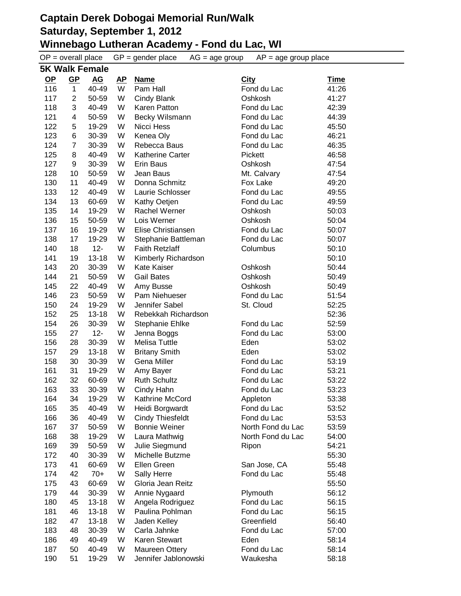|           | $OP = overall place$    |           |           | $GP = gender place$     | $AG = age$ group | $AP = age$ group place |             |
|-----------|-------------------------|-----------|-----------|-------------------------|------------------|------------------------|-------------|
|           | <b>5K Walk Female</b>   |           |           |                         |                  |                        |             |
| <u>OP</u> | $GP$                    | <b>AG</b> | <u>AP</u> | <b>Name</b>             | <b>City</b>      |                        | <u>Time</u> |
| 116       | $\mathbf{1}$            | 40-49     | W         | Pam Hall                |                  | Fond du Lac            | 41:26       |
| 117       | $\overline{2}$          | 50-59     | W         | Cindy Blank             |                  | Oshkosh                | 41:27       |
| 118       | 3                       | 40-49     | W         | Karen Patton            |                  | Fond du Lac            | 42:39       |
| 121       | $\overline{\mathbf{4}}$ | 50-59     | W         | Becky Wilsmann          |                  | Fond du Lac            | 44:39       |
| 122       | 5                       | 19-29     | W         | Nicci Hess              |                  | Fond du Lac            | 45:50       |
| 123       | 6                       | 30-39     | W         | Kenea Oly               |                  | Fond du Lac            | 46:21       |
| 124       | $\overline{7}$          | 30-39     | W         | Rebecca Baus            |                  | Fond du Lac            | 46:35       |
| 125       | 8                       | 40-49     | W         | Katherine Carter        |                  | Pickett                | 46:58       |
| 127       | 9                       | 30-39     | W         | Erin Baus               |                  | Oshkosh                | 47:54       |
| 128       | 10                      | 50-59     | W         | Jean Baus               |                  | Mt. Calvary            | 47:54       |
| 130       | 11                      | 40-49     | W         | Donna Schmitz           |                  | Fox Lake               | 49:20       |
| 133       | 12                      | 40-49     | W         | Laurie Schlosser        |                  | Fond du Lac            | 49:55       |
| 134       | 13                      | 60-69     | W         | Kathy Oetjen            |                  | Fond du Lac            | 49:59       |
| 135       | 14                      | 19-29     | W         | Rachel Werner           |                  | Oshkosh                | 50:03       |
| 136       | 15                      | 50-59     | W         | Lois Werner             |                  | Oshkosh                | 50:04       |
| 137       | 16                      | 19-29     | W         | Elise Christiansen      |                  | Fond du Lac            | 50:07       |
| 138       | 17                      | 19-29     | W         | Stephanie Battleman     |                  | Fond du Lac            | 50:07       |
| 140       | 18                      | $12 -$    | W         | <b>Faith Retzlaff</b>   |                  | Columbus               | 50:10       |
| 141       | 19                      | $13 - 18$ | W         | Kimberly Richardson     |                  |                        | 50:10       |
| 143       | 20                      | 30-39     | W         | Kate Kaiser             |                  | Oshkosh                | 50:44       |
| 144       | 21                      | 50-59     | W         | <b>Gail Bates</b>       |                  | Oshkosh                | 50:49       |
| 145       | 22                      | 40-49     | W         | Amy Busse               |                  | Oshkosh                | 50:49       |
| 146       | 23                      | 50-59     | W         | Pam Niehueser           |                  | Fond du Lac            | 51:54       |
| 150       | 24                      | 19-29     | W         | Jennifer Sabel          |                  | St. Cloud              | 52:25       |
| 152       | 25                      | $13 - 18$ | W         | Rebekkah Richardson     |                  |                        | 52:36       |
| 154       | 26                      | 30-39     | W         | Stephanie Ehlke         |                  | Fond du Lac            | 52:59       |
| 155       | 27                      | $12 -$    | W         | Jenna Boggs             |                  | Fond du Lac            | 53:00       |
| 156       | 28                      | 30-39     | W         | <b>Melisa Tuttle</b>    |                  | Eden                   | 53:02       |
| 157       | 29                      | $13 - 18$ | W         | <b>Britany Smith</b>    |                  | Eden                   | 53:02       |
| 158       | 30                      | 30-39     | W         | Gena Miller             |                  | Fond du Lac            | 53:19       |
| 161       | 31                      | 19-29     | W         | Amy Bayer               |                  | Fond du Lac            | 53:21       |
| 162       | 32                      | 60-69     | W         | <b>Ruth Schultz</b>     |                  | Fond du Lac            | 53:22       |
| 163       | 33                      | 30-39     | W         | Cindy Hahn              |                  | Fond du Lac            | 53:23       |
| 164       | 34                      | 19-29     | W         | Kathrine McCord         |                  | Appleton               | 53:38       |
| 165       | 35                      | 40-49     | W         | Heidi Borgwardt         |                  | Fond du Lac            | 53:52       |
| 166       | 36                      | 40-49     | W         | <b>Cindy Thiesfeldt</b> |                  | Fond du Lac            | 53:53       |
| 167       | 37                      | 50-59     | W         | <b>Bonnie Weiner</b>    |                  | North Fond du Lac      | 53:59       |
| 168       | 38                      | 19-29     | W         | Laura Mathwig           |                  | North Fond du Lac      | 54:00       |
| 169       | 39                      | 50-59     | W         | Julie Siegmund          |                  | Ripon                  | 54:21       |
| 172       | 40                      | 30-39     | W         | Michelle Butzme         |                  |                        | 55:30       |
| 173       | 41                      | 60-69     | W         | Ellen Green             |                  | San Jose, CA           | 55:48       |
| 174       | 42                      | $70+$     | W         | Sally Herre             |                  | Fond du Lac            | 55:48       |
| 175       | 43                      | 60-69     | W         | Gloria Jean Reitz       |                  |                        | 55:50       |
| 179       | 44                      | 30-39     | W         | Annie Nygaard           |                  | Plymouth               | 56:12       |
| 180       | 45                      | $13 - 18$ | W         | Angela Rodriguez        |                  | Fond du Lac            | 56:15       |
| 181       | 46                      | $13 - 18$ | W         | Paulina Pohlman         |                  | Fond du Lac            | 56:15       |
| 182       | 47                      | $13 - 18$ | W         | Jaden Kelley            |                  | Greenfield             | 56:40       |
| 183       | 48                      | 30-39     | W         | Carla Jahnke            |                  | Fond du Lac            | 57:00       |
| 186       | 49                      | 40-49     | W         | Karen Stewart           |                  | Eden                   | 58:14       |
| 187       | 50                      | 40-49     | W         | Maureen Ottery          |                  | Fond du Lac            | 58:14       |
| 190       | 51                      | 19-29     | W         | Jennifer Jablonowski    |                  | Waukesha               | 58:18       |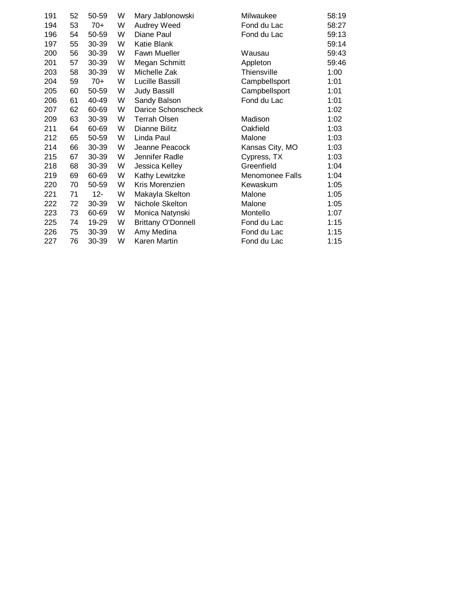| 191 | 52 | 50-59  | W | Mary Jablonowski          | Milwaukee       | 58:19 |
|-----|----|--------|---|---------------------------|-----------------|-------|
| 194 | 53 | $70+$  | W | Audrey Weed               | Fond du Lac     | 58:27 |
| 196 | 54 | 50-59  | W | Diane Paul                | Fond du Lac     | 59:13 |
| 197 | 55 | 30-39  | W | Katie Blank               |                 | 59:14 |
| 200 | 56 | 30-39  | W | Fawn Mueller              | Wausau          | 59:43 |
| 201 | 57 | 30-39  | W | Megan Schmitt             | Appleton        | 59:46 |
| 203 | 58 | 30-39  | W | Michelle Zak              | Thiensville     | 1:00  |
| 204 | 59 | $70+$  | W | Lucille Bassill           | Campbellsport   | 1:01  |
| 205 | 60 | 50-59  | W | <b>Judy Bassill</b>       | Campbellsport   | 1:01  |
| 206 | 61 | 40-49  | W | Sandy Balson              | Fond du Lac     | 1:01  |
| 207 | 62 | 60-69  | W | Darice Schonscheck        |                 | 1:02  |
| 209 | 63 | 30-39  | W | <b>Terrah Olsen</b>       | Madison         | 1:02  |
| 211 | 64 | 60-69  | W | Dianne Bilitz             | Oakfield        | 1:03  |
| 212 | 65 | 50-59  | W | Linda Paul                | Malone          | 1:03  |
| 214 | 66 | 30-39  | W | Jeanne Peacock            | Kansas City, MO | 1:03  |
| 215 | 67 | 30-39  | W | Jennifer Radle            | Cypress, TX     | 1:03  |
| 218 | 68 | 30-39  | W | Jessica Kelley            | Greenfield      | 1:04  |
| 219 | 69 | 60-69  | W | Kathy Lewitzke            | Menomonee Falls | 1:04  |
| 220 | 70 | 50-59  | W | Kris Morenzien            | Kewaskum        | 1:05  |
| 221 | 71 | $12 -$ | W | Makayla Skelton           | Malone          | 1:05  |
| 222 | 72 | 30-39  | W | Nichole Skelton           | Malone          | 1:05  |
| 223 | 73 | 60-69  | W | Monica Natynski           | Montello        | 1:07  |
| 225 | 74 | 19-29  | W | <b>Brittany O'Donnell</b> | Fond du Lac     | 1:15  |
| 226 | 75 | 30-39  | W | Amy Medina                | Fond du Lac     | 1:15  |
| 227 | 76 | 30-39  | W | Karen Martin              | Fond du Lac     | 1:15  |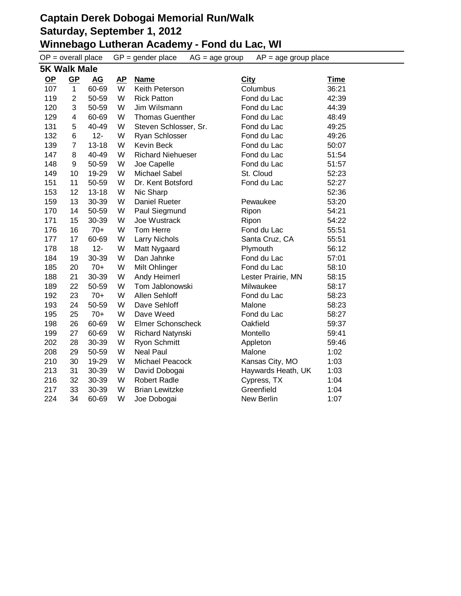$OP =$  overall place  $GP =$  gender place  $AG =$  age group  $AP =$  age group place **5K Walk Male**

|           | ิวท พain พai <del>c</del> |           |           |                          |                    |       |  |  |  |
|-----------|---------------------------|-----------|-----------|--------------------------|--------------------|-------|--|--|--|
| <u>OP</u> | <u>GP</u>                 | <u>AG</u> | <b>AP</b> | <b>Name</b>              | <b>City</b>        | Time  |  |  |  |
| 107       | $\mathbf{1}$              | 60-69     | W         | Keith Peterson           | Columbus           | 36:21 |  |  |  |
| 119       | $\overline{2}$            | 50-59     | W         | <b>Rick Patton</b>       | Fond du Lac        | 42:39 |  |  |  |
| 120       | 3                         | 50-59     | W         | Jim Wilsmann             | Fond du Lac        | 44:39 |  |  |  |
| 129       | 4                         | 60-69     | W         | <b>Thomas Guenther</b>   | Fond du Lac        | 48:49 |  |  |  |
| 131       | 5                         | 40-49     | W         | Steven Schlosser, Sr.    | Fond du Lac        | 49:25 |  |  |  |
| 132       | 6                         | $12 -$    | W         | <b>Ryan Schlosser</b>    | Fond du Lac        | 49:26 |  |  |  |
| 139       | $\overline{7}$            | $13 - 18$ | W         | <b>Kevin Beck</b>        | Fond du Lac        | 50:07 |  |  |  |
| 147       | 8                         | 40-49     | W         | <b>Richard Niehueser</b> | Fond du Lac        | 51:54 |  |  |  |
| 148       | 9                         | 50-59     | W         | Joe Capelle              | Fond du Lac        | 51:57 |  |  |  |
| 149       | 10                        | 19-29     | W         | Michael Sabel            | St. Cloud          | 52:23 |  |  |  |
| 151       | 11                        | 50-59     | W         | Dr. Kent Botsford        | Fond du Lac        | 52:27 |  |  |  |
| 153       | 12                        | $13 - 18$ | W         | Nic Sharp                |                    | 52:36 |  |  |  |
| 159       | 13                        | 30-39     | W         | <b>Daniel Rueter</b>     | Pewaukee           | 53:20 |  |  |  |
| 170       | 14                        | 50-59     | W         | Paul Siegmund            | Ripon              | 54:21 |  |  |  |
| 171       | 15                        | 30-39     | W         | Joe Wustrack             | Ripon              | 54:22 |  |  |  |
| 176       | 16                        | $70+$     | W         | Tom Herre                | Fond du Lac        | 55:51 |  |  |  |
| 177       | 17                        | 60-69     | W         | <b>Larry Nichols</b>     | Santa Cruz, CA     | 55:51 |  |  |  |
| 178       | 18                        | $12 -$    | W         | Matt Nygaard             | Plymouth           | 56:12 |  |  |  |
| 184       | 19                        | 30-39     | W         | Dan Jahnke               | Fond du Lac        | 57:01 |  |  |  |
| 185       | 20                        | $70+$     | W         | Milt Ohlinger            | Fond du Lac        | 58:10 |  |  |  |
| 188       | 21                        | 30-39     | W         | Andy Heimerl             | Lester Prairie, MN | 58:15 |  |  |  |
| 189       | 22                        | 50-59     | W         | Tom Jablonowski          | Milwaukee          | 58:17 |  |  |  |
| 192       | 23                        | $70+$     | W         | Allen Sehloff            | Fond du Lac        | 58:23 |  |  |  |
| 193       | 24                        | 50-59     | W         | Dave Sehloff             | Malone             | 58:23 |  |  |  |
| 195       | 25                        | $70+$     | W         | Dave Weed                | Fond du Lac        | 58:27 |  |  |  |
| 198       | 26                        | 60-69     | W         | <b>Elmer Schonscheck</b> | Oakfield           | 59:37 |  |  |  |
| 199       | 27                        | 60-69     | W         | Richard Natynski         | Montello           | 59:41 |  |  |  |
| 202       | 28                        | 30-39     | W         | <b>Ryon Schmitt</b>      | Appleton           | 59:46 |  |  |  |
| 208       | 29                        | 50-59     | W         | <b>Neal Paul</b>         | Malone             | 1:02  |  |  |  |
| 210       | 30                        | 19-29     | W         | Michael Peacock          | Kansas City, MO    | 1:03  |  |  |  |
| 213       | 31                        | 30-39     | W         | David Dobogai            | Haywards Heath, UK | 1:03  |  |  |  |
| 216       | 32                        | 30-39     | W         | <b>Robert Radle</b>      | Cypress, TX        | 1:04  |  |  |  |
| 217       | 33                        | 30-39     | W         | <b>Brian Lewitzke</b>    | Greenfield         | 1:04  |  |  |  |
| 224       | 34                        | 60-69     | W         | Joe Dobogai              | New Berlin         | 1:07  |  |  |  |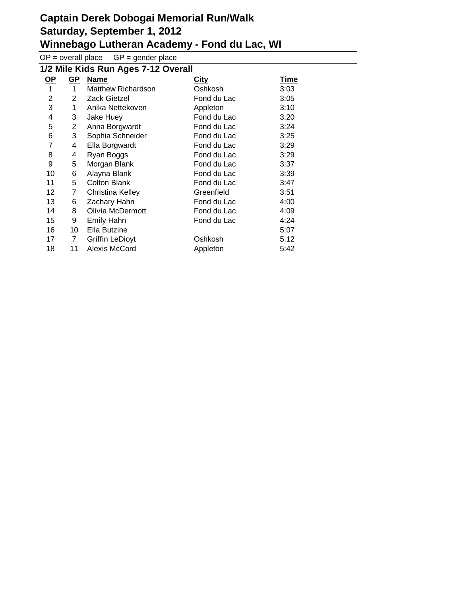$OP =$  overall place  $GP =$  gender place

| 1/2 Mile Kids Run Ages 7-12 Overall |                |                        |             |      |
|-------------------------------------|----------------|------------------------|-------------|------|
| <u>OP</u>                           | <u>GP</u>      | <b>Name</b>            | <b>City</b> | Time |
| 1                                   | $\mathbf{1}$   | Matthew Richardson     | Oshkosh     | 3:03 |
| 2                                   | 2              | <b>Zack Gietzel</b>    | Fond du Lac | 3:05 |
| 3                                   | 1              | Anika Nettekoven       | Appleton    | 3:10 |
| 4                                   | 3              | Jake Huey              | Fond du Lac | 3:20 |
| 5                                   | $\overline{2}$ | Anna Borgwardt         | Fond du Lac | 3:24 |
| 6                                   | 3              | Sophia Schneider       | Fond du Lac | 3:25 |
| 7                                   | 4              | Ella Borgwardt         | Fond du Lac | 3:29 |
| 8                                   | 4              | Ryan Boggs             | Fond du Lac | 3:29 |
| 9                                   | 5              | Morgan Blank           | Fond du Lac | 3:37 |
| 10                                  | 6              | Alayna Blank           | Fond du Lac | 3:39 |
| 11                                  | 5              | <b>Colton Blank</b>    | Fond du Lac | 3:47 |
| 12                                  | 7              | Christina Kelley       | Greenfield  | 3:51 |
| 13                                  | 6              | Zachary Hahn           | Fond du Lac | 4:00 |
| 14                                  | 8              | Olivia McDermott       | Fond du Lac | 4:09 |
| 15                                  | 9              | <b>Emily Hahn</b>      | Fond du Lac | 4:24 |
| 16                                  | 10             | Ella Butzine           |             | 5:07 |
| 17                                  | 7              | <b>Griffin LeDioyt</b> | Oshkosh     | 5:12 |
| 18                                  | 11             | Alexis McCord          | Appleton    | 5:42 |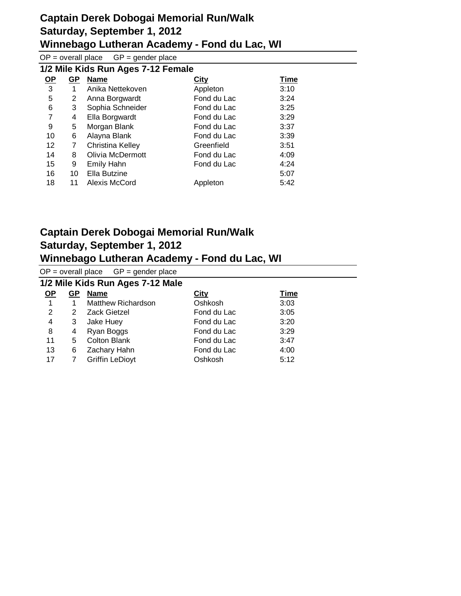$OP =$  overall place  $GP =$  gender place

| 1/2 Mile Kids Run Ages 7-12 Female |    |                   |             |             |
|------------------------------------|----|-------------------|-------------|-------------|
| <u>OP</u>                          | GP | <b>Name</b>       | <b>City</b> | <b>Time</b> |
| 3                                  | 1  | Anika Nettekoven  | Appleton    | 3:10        |
| 5                                  | 2  | Anna Borgwardt    | Fond du Lac | 3:24        |
| 6                                  | 3  | Sophia Schneider  | Fond du Lac | 3:25        |
| 7                                  | 4  | Ella Borgwardt    | Fond du Lac | 3:29        |
| 9                                  | 5  | Morgan Blank      | Fond du Lac | 3:37        |
| 10                                 | 6  | Alayna Blank      | Fond du Lac | 3:39        |
| 12                                 | 7  | Christina Kelley  | Greenfield  | 3:51        |
| 14                                 | 8  | Olivia McDermott  | Fond du Lac | 4:09        |
| 15                                 | 9  | <b>Emily Hahn</b> | Fond du Lac | 4:24        |
| 16                                 | 10 | Ella Butzine      |             | 5:07        |
| 18                                 | 11 | Alexis McCord     | Appleton    | 5:42        |

#### **Captain Derek Dobogai Memorial Run/Walk Saturday, September 1, 2012 Winnebago Lutheran Academy - Fond du Lac, WI**

#### $\overline{OP}$  = overall place  $GP$  = gender place **1/2 Mile Kids Run Ages 7-12 Male OP GP Name City Time** 1 1 Matthew Richardson **C**shkosh 3:03 2 2 Zack Gietzel **Fond du Lac** 3:05 4 3 Jake Huey Fond du Lac 3:20 8 4 Ryan Boggs **Fond du Lac** 3:29 11 5 Colton Blank Fond du Lac 3:47 13 6 Zachary Hahn **Fond du Lac** 4:00 17 7 Griffin LeDioyt China Coshkosh 5:12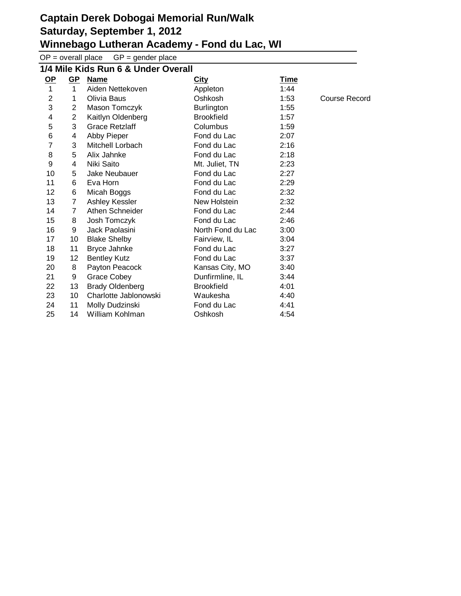$OP =$  overall place  $GP =$  gender place

| 1/4 Mile Kids Run 6 & Under Overall |                |                        |                   |             |               |
|-------------------------------------|----------------|------------------------|-------------------|-------------|---------------|
| <u>OP</u>                           | $GP$           | <b>Name</b>            | <b>City</b>       | <u>Time</u> |               |
| $\mathbf{1}$                        | $\mathbf{1}$   | Aiden Nettekoven       | Appleton          | 1:44        |               |
| $\overline{2}$                      | 1              | Olivia Baus            | Oshkosh           | 1:53        | Course Record |
| 3                                   | $\overline{2}$ | Mason Tomczyk          | <b>Burlington</b> | 1:55        |               |
| 4                                   | $\overline{2}$ | Kaitlyn Oldenberg      | <b>Brookfield</b> | 1:57        |               |
| 5                                   | 3              | <b>Grace Retzlaff</b>  | Columbus          | 1:59        |               |
| 6                                   | 4              | Abby Pieper            | Fond du Lac       | 2:07        |               |
| 7                                   | 3              | Mitchell Lorbach       | Fond du Lac       | 2:16        |               |
| 8                                   | 5              | Alix Jahnke            | Fond du Lac       | 2:18        |               |
| 9                                   | 4              | Niki Saito             | Mt. Juliet, TN    | 2:23        |               |
| 10                                  | 5              | Jake Neubauer          | Fond du Lac       | 2:27        |               |
| 11                                  | 6              | Eva Horn               | Fond du Lac       | 2:29        |               |
| 12                                  | 6              | Micah Boggs            | Fond du Lac       | 2:32        |               |
| 13                                  | $\overline{7}$ | Ashley Kessler         | New Holstein      | 2:32        |               |
| 14                                  | $\overline{7}$ | Athen Schneider        | Fond du Lac       | 2:44        |               |
| 15                                  | 8              | Josh Tomczyk           | Fond du Lac       | 2:46        |               |
| 16                                  | 9              | Jack Paolasini         | North Fond du Lac | 3:00        |               |
| 17                                  | 10             | <b>Blake Shelby</b>    | Fairview, IL      | 3:04        |               |
| 18                                  | 11             | Bryce Jahnke           | Fond du Lac       | 3:27        |               |
| 19                                  | 12             | <b>Bentley Kutz</b>    | Fond du Lac       | 3:37        |               |
| 20                                  | 8              | Payton Peacock         | Kansas City, MO   | 3:40        |               |
| 21                                  | 9              | <b>Grace Cobey</b>     | Dunfirmline, IL   | 3:44        |               |
| 22                                  | 13             | <b>Brady Oldenberg</b> | <b>Brookfield</b> | 4:01        |               |
| 23                                  | 10             | Charlotte Jablonowski  | Waukesha          | 4:40        |               |
| 24                                  | 11             | Molly Dudzinski        | Fond du Lac       | 4:41        |               |
| 25                                  | 14             | William Kohlman        | Oshkosh           | 4:54        |               |
|                                     |                |                        |                   |             |               |